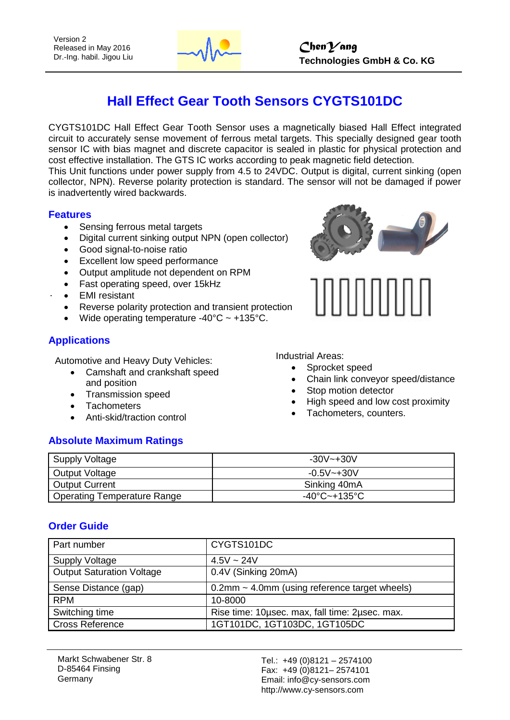

# **Hall Effect Gear Tooth Sensors CYGTS101DC**

CYGTS101DC Hall Effect Gear Tooth Sensor uses a magnetically biased Hall Effect integrated circuit to accurately sense movement of ferrous metal targets. This specially designed gear tooth sensor IC with bias magnet and discrete capacitor is sealed in plastic for physical protection and cost effective installation. The GTS IC works according to peak magnetic field detection.

This Unit functions under power supply from 4.5 to 24VDC. Output is digital, current sinking (open collector, NPN). Reverse polarity protection is standard. The sensor will not be damaged if power is inadvertently wired backwards.

#### **Features**

- Sensing ferrous metal targets
- Digital current sinking output NPN (open collector)
- Good signal-to-noise ratio
- Excellent low speed performance
- Output amplitude not dependent on RPM
- Fast operating speed, over 15kHz
- EMI resistant
- Reverse polarity protection and transient protection
- Wide operating temperature  $-40^{\circ}$ C ~  $+135^{\circ}$ C.

### **Applications**

Automotive and Heavy Duty Vehicles:

- Camshaft and crankshaft speed and position
- Transmission speed
- **Tachometers**
- Anti-skid/traction control

### **Absolute Maximum Ratings**

Industrial Areas:

- Sprocket speed
- Chain link conveyor speed/distance
- Stop motion detector
- High speed and low cost proximity
- Tachometers, counters.

| Supply Voltage              | $-30V - +30V$  |
|-----------------------------|----------------|
| Output Voltage              | $-0.5V - +30V$ |
| <b>Output Current</b>       | Sinking 40mA   |
| Operating Temperature Range | -40°C~+135°C   |

#### **Order Guide**

| Part number                      | CYGTS101DC                                       |  |  |  |
|----------------------------------|--------------------------------------------------|--|--|--|
| <b>Supply Voltage</b>            | $4.5V \sim 24V$                                  |  |  |  |
| <b>Output Saturation Voltage</b> | 0.4V (Sinking 20mA)                              |  |  |  |
| Sense Distance (gap)             | $0.2$ mm ~ 4.0mm (using reference target wheels) |  |  |  |
| <b>RPM</b>                       | 10-8000                                          |  |  |  |
| Switching time                   | Rise time: 10usec. max, fall time: 2usec. max.   |  |  |  |
| <b>Cross Reference</b>           | 1GT101DC, 1GT103DC, 1GT105DC                     |  |  |  |

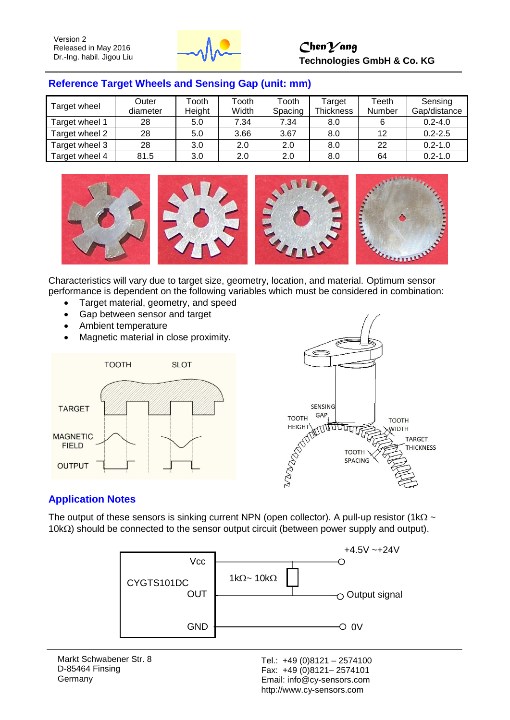

## *ChenYang* **Technologies GmbH & Co. KG**

#### **Reference Target Wheels and Sensing Gap (unit: mm)**

| Target wheel   | Outer<br>diameter | Tooth<br>Height | Tooth<br>Width | Tooth<br>Spacing | Target<br><b>Thickness</b> | Teeth<br>Number | Sensing<br>Gap/distance |
|----------------|-------------------|-----------------|----------------|------------------|----------------------------|-----------------|-------------------------|
| Target wheel 1 | 28                | 5.0             | 7.34           | 7.34             | 8.0                        | 6               | $0.2 - 4.0$             |
| Target wheel 2 | 28                | 5.0             | 3.66           | 3.67             | 8.0                        | 12              | $0.2 - 2.5$             |
| Target wheel 3 | 28                | 3.0             | 2.0            | 2.0              | 8.0                        | 22              | $0.2 - 1.0$             |
| Target wheel 4 | 81.5              | 3.0             | 2.0            | 2.0              | 8.0                        | 64              | $0.2 - 1.0$             |



Characteristics will vary due to target size, geometry, location, and material. Optimum sensor performance is dependent on the following variables which must be considered in combination:

- Target material, geometry, and speed
- Gap between sensor and target
- Ambient temperature
- Magnetic material in close proximity.





#### **Application Notes**

The output of these sensors is sinking current NPN (open collector). A pull-up resistor (1k $\Omega \sim$  $10k<sub>\Omega</sub>$ ) should be connected to the sensor output circuit (between power supply and output).



Markt Schwabener Str. 8 D-85464 Finsing Germany

Tel.: +49 (0)8121 – 2574100 Fax: +49 (0)8121– 2574101 Email: info@cy-sensors.com http://www.cy-sensors.com